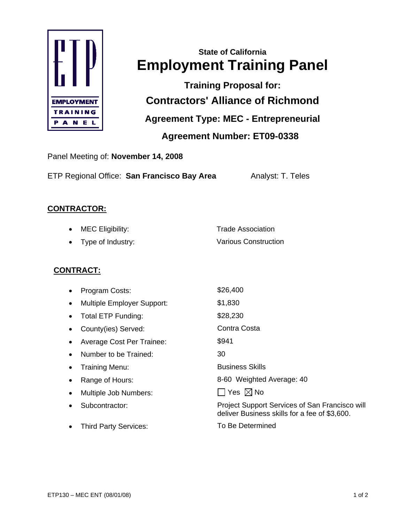

# **State of California Employment Training Panel**

**Training Proposal for: Contractors' Alliance of Richmond Agreement Type: MEC - Entrepreneurial** 

 **Agreement Number: ET09-0338** 

Panel Meeting of: **November 14, 2008**

ETP Regional Office: San Francisco Bay Area **Analyst: T. Teles** 

### **CONTRACTOR:**

| $\bullet$ MEC Eligibility: | <b>Trade Association</b>    |
|----------------------------|-----------------------------|
| • Type of Industry:        | <b>Various Construction</b> |

## **CONTRACT:**

| Program Costs:                    | \$26,400                                                                                        |
|-----------------------------------|-------------------------------------------------------------------------------------------------|
| <b>Multiple Employer Support:</b> | \$1,830                                                                                         |
| Total ETP Funding:                | \$28,230                                                                                        |
| County(ies) Served:               | Contra Costa                                                                                    |
| Average Cost Per Trainee:         | \$941                                                                                           |
| Number to be Trained:             | 30                                                                                              |
| Training Menu:                    | <b>Business Skills</b>                                                                          |
| Range of Hours:                   | 8-60 Weighted Average: 40                                                                       |
| Multiple Job Numbers:             | Yes $\boxtimes$ No                                                                              |
| Subcontractor:                    | Project Support Services of San Francisco will<br>deliver Business skills for a fee of \$3,600. |
| <b>Third Party Services:</b>      | To Be Determined                                                                                |